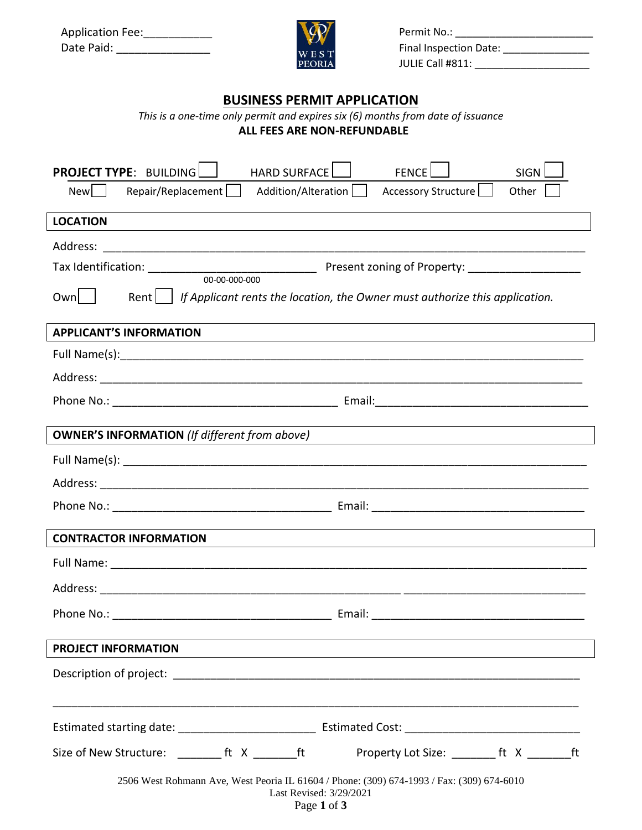| <b>Application Fee:</b> |  |
|-------------------------|--|
| Date Paid:              |  |



Permit No.: \_\_\_\_\_\_\_\_\_\_\_\_\_\_\_\_\_\_\_\_\_\_\_\_ Final Inspection Date: \_\_\_\_\_\_\_\_\_\_\_\_\_\_\_ JULIE Call #811: \_\_\_\_\_\_\_\_\_\_\_\_\_\_\_\_\_\_\_\_

## **BUSINESS PERMIT APPLICATION**

*This is a one-time only permit and expires six (6) months from date of issuance*

**ALL FEES ARE NON-REFUNDABLE**

| <b>HARD SURFACE</b><br><b>PROJECT TYPE: BUILDING</b><br><b>FENCE</b><br><b>SIGN</b>                                                                                                                                                                                                   |  |  |
|---------------------------------------------------------------------------------------------------------------------------------------------------------------------------------------------------------------------------------------------------------------------------------------|--|--|
| Addition/Alteration<br>Repair/Replacement<br>Accessory Structure<br>Other<br><b>New</b>                                                                                                                                                                                               |  |  |
| <b>LOCATION</b>                                                                                                                                                                                                                                                                       |  |  |
|                                                                                                                                                                                                                                                                                       |  |  |
| Present zoning of Property: ____________________<br>Tax Identification: __________________________________                                                                                                                                                                            |  |  |
| 00-00-000-000<br>Own    <br>If Applicant rents the location, the Owner must authorize this application.<br>Rentl                                                                                                                                                                      |  |  |
| <b>APPLICANT'S INFORMATION</b>                                                                                                                                                                                                                                                        |  |  |
|                                                                                                                                                                                                                                                                                       |  |  |
|                                                                                                                                                                                                                                                                                       |  |  |
|                                                                                                                                                                                                                                                                                       |  |  |
| <b>OWNER'S INFORMATION</b> (If different from above)<br>the control of the control of the control of the control of the control of the control of the control of the control of the control of the control of the control of the control of the control of the control of the control |  |  |
|                                                                                                                                                                                                                                                                                       |  |  |
|                                                                                                                                                                                                                                                                                       |  |  |
|                                                                                                                                                                                                                                                                                       |  |  |
| <b>CONTRACTOR INFORMATION</b>                                                                                                                                                                                                                                                         |  |  |
|                                                                                                                                                                                                                                                                                       |  |  |
|                                                                                                                                                                                                                                                                                       |  |  |
| Phone No.:<br>Email:                                                                                                                                                                                                                                                                  |  |  |
| <b>PROJECT INFORMATION</b>                                                                                                                                                                                                                                                            |  |  |
|                                                                                                                                                                                                                                                                                       |  |  |
|                                                                                                                                                                                                                                                                                       |  |  |
|                                                                                                                                                                                                                                                                                       |  |  |
| Size of New Structure: _________ ft X _________ ft<br>Property Lot Size: __________ ft X _______<br>ft                                                                                                                                                                                |  |  |
| 2506 West Rohmann Ave, West Peoria IL 61604 / Phone: (309) 674-1993 / Fax: (309) 674-6010<br>Last Revised: 3/29/2021                                                                                                                                                                  |  |  |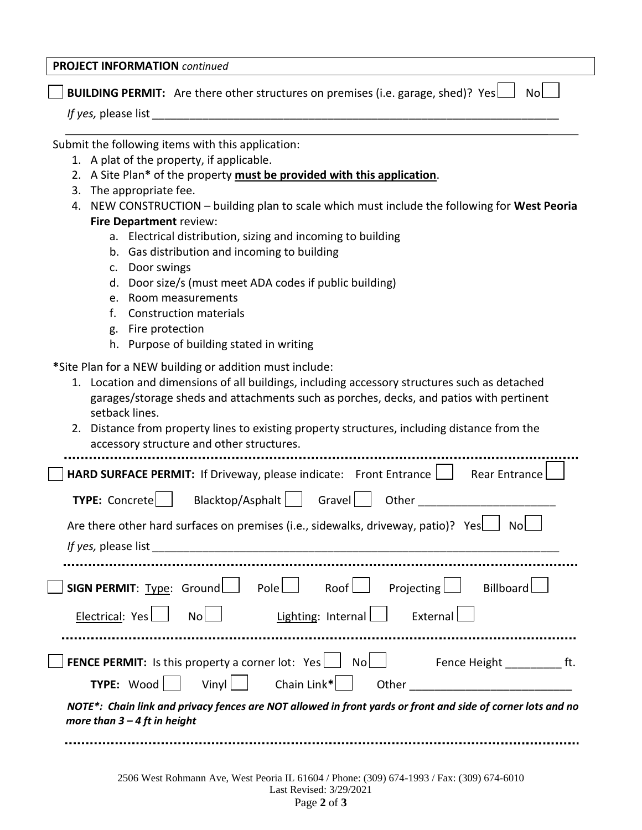## **PROJECT INFORMATION** *continued*

**BUILDING PERMIT:** Are there other structures on premises (i.e. garage, shed)? Yes  $\Box$  No  $\Box$ 

*If yes, please list* 

Submit the following items with this application:

- 1. A plat of the property, if applicable.
- 2. A Site Plan**\*** of the property **must be provided with this application**.
- 3. The appropriate fee.
- 4. NEW CONSTRUCTION building plan to scale which must include the following for **West Peoria Fire Department** review:
	- a. Electrical distribution, sizing and incoming to building
	- b. Gas distribution and incoming to building
	- c. Door swings
	- d. Door size/s (must meet ADA codes if public building)
	- e. Room measurements
	- f. Construction materials
	- g. Fire protection
	- h. Purpose of building stated in writing

**\***Site Plan for a NEW building or addition must include:

- 1. Location and dimensions of all buildings, including accessory structures such as detached garages/storage sheds and attachments such as porches, decks, and patios with pertinent setback lines.
- 2. Distance from property lines to existing property structures, including distance from the accessory structure and other structures.

| <b>HARD SURFACE PERMIT:</b> If Driveway, please indicate: Front Entrance<br>Rear Entrance                                                     |  |  |
|-----------------------------------------------------------------------------------------------------------------------------------------------|--|--|
| Blacktop/Asphalt   Gravel<br><b>TYPE:</b> Concrete<br>Other                                                                                   |  |  |
| Are there other hard surfaces on premises (i.e., sidewalks, driveway, patio)? Yes<br>Nol                                                      |  |  |
|                                                                                                                                               |  |  |
|                                                                                                                                               |  |  |
| <b>SIGN PERMIT:</b> Type: Ground   Pole   Roof   Projecting   Billboard                                                                       |  |  |
| Lighting: Internal<br>Electrical: Yes<br>External<br>No                                                                                       |  |  |
|                                                                                                                                               |  |  |
| <b>FENCE PERMIT:</b> Is this property a corner lot: $Yes \Box \ No \Box$ Fence Height ft.                                                     |  |  |
| Vinyl   Chain Link*<br>TYPE: Wood<br>Other                                                                                                    |  |  |
| NOTE*: Chain link and privacy fences are NOT allowed in front yards or front and side of corner lots and no<br>more than $3 - 4$ ft in height |  |  |
|                                                                                                                                               |  |  |

Page **2** of **3**